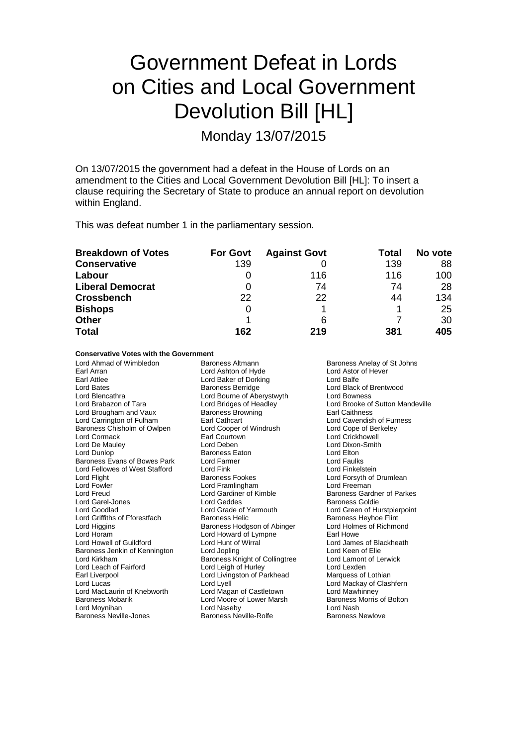# Government Defeat in Lords on Cities and Local Government Devolution Bill [HL]

Monday 13/07/2015

On 13/07/2015 the government had a defeat in the House of Lords on an amendment to the Cities and Local Government Devolution Bill [HL]: To insert a clause requiring the Secretary of State to produce an annual report on devolution within England.

This was defeat number 1 in the parliamentary session.

| <b>Breakdown of Votes</b> | <b>For Govt</b> | <b>Against Govt</b> | Total | No vote |
|---------------------------|-----------------|---------------------|-------|---------|
| <b>Conservative</b>       | 139             |                     | 139   | 88      |
| Labour                    |                 | 116                 | 116   | 100     |
| <b>Liberal Democrat</b>   |                 | 74                  | 74    | 28      |
| <b>Crossbench</b>         | 22              | 22                  | 44    | 134     |
| <b>Bishops</b>            | 0               |                     |       | 25      |
| <b>Other</b>              |                 | 6                   |       | 30      |
| <b>Total</b>              | 162             | 219                 | 381   | 405     |

#### **Conservative Votes with the Government**

Lord Ahmad of Wimbledon Baroness Altmann Baroness Assess Anelay of St Johns<br>
Baroness Anelay of St Johns Baroness Altmann Baroness Anelay of St Johns Earl Arran **Earl Arran Lord Ashton of Hyde** Carl Arran Lord Astor Carl Attlee Cord Carl Ashton Cord Baker of Dorking Earl Attlee Lord Baker of Dorking<br>
Lord Bates<br>
Lord Bates<br>
Baroness Berridge Lord Bates **Baroness Berridge** Lord Black of Brentwood<br>
Lord Bencathra **Baroness Berridge** Lord Bowness<br>
Lord Bowness Lord Blencathra **Lord Bourne of Aberystwyth**<br>
Lord Bridges of Headley<br>
Lord Bridges of Headley Lord Brougham and Vaux Baroness Browner Baroness Browner Baroness Browner<br>
Earl Cathcart Baroness Chisholm of Owlpen Lord Cooper of Windrush Lord Cope of Berekeley Contains Lord Cope of Ber<br>Lord Cormack Lord Crickhowell Lord Cormack Earl Courtown Lord De Mauley<br>
Lord De Mauley **Act Court Court Critics** Lord De Mauley Lord Deben Lord Dixon-Smith Baroness Eaton Lord Elton<br>
Lord Farmer Lord Eaulks Baroness Evans of Bowes Park Lord Farmer Theorem Cord Faulks Lord Faulks<br>
Lord Fellowes of West Stafford Lord Fink Lord Ford Finkelstein Lord Fellowes of West Stafford Lord Flight **Baroness Fookes** Lord Forsyth of Drumlean<br>
Lord Formula Lord Forsyth Cord Framlingham<br>
Lord Formula Lord Freeman Lord Fowler **Lord Framlingham** Lord Freeman<br>Lord Freud **Lord Cardiner of Kimble Lord Cardiner Corporation** Lord Garel-Jones **Lord Geddes**<br> **Lord Goodlad Lord Grade of Yarmouth** Lord Griffiths of Fforestfach Baroness Helic Baroness Heyhoe Flint<br>Lord Higgins Baroness Hodgson of Abinger Lord Holmes of Richmond Lord Higgins **Baroness Hodgson of Abinger** Lord Holmes Lord Holmes Cord Rolmes Cord Richmond Lord Richmond Cord<br>
Lord Howard of Lympne Carl Howe Lord Horam Lord Howard of Lympne<br>
Lord Howell of Guildford Lord Hunt of Wirral Baroness Jenkin of Kennington Lord Jopling Cord Collingtree Lord Keen of Elie<br>
Lord Kirkham Cord Lamont of Lerwick<br>
Lord Lamont of Lerwick Lord Kirkham **Baroness Knight of Collingtree** Lord Lamont Lord Lamont Collingtree Lord Lamont Lord Lexden Lord Leach of Fairford Lord Leigh of Hurley Cord Lexden<br>
Lord Livingston of Parkhead Marquess of Lothian Lord Livingston of Parkhead<br>Lord Lyell Lord Lucas Lord Lyell Lord Lyell Lord Mackay of Clashfern<br>
Lord MacLaurin of Knebworth Lord Magan of Castletown Lord Mawhinney Lord MacLaurin of Knebworth Lord Magan of Castletown Lord Mawhinney<br>
Baroness Mobarik Cord Moore of Lower Marsh Baroness Morris of Bolton Lord Moore of Lower Marsh Baroness I<br>
Lord Naseby Baroness I Lord Moynihan **Lord Lord Naseby** Lord Device Cord Nash<br>
Baroness Neville-Jones **Corporation Corporation** Baroness Newlove Baroness Newlove Baroness Neville-Jones

Lord Bridges of Headley **Lord Brooke of Sutton Mandeville**<br> **Baroness Browning** Larl Caithness Earl Cathcart **Cathcart** Lord Cavendish of Furness<br>
Lord Cooper of Windrush Lord Cope of Berkeley Lord Gardiner of Kimble Baroness Gardner of Parkes<br>
Baroness Goldie Baroness Goldie Lord Grade of Yarmouth Lord Green of Hurstpierpoint<br>
Baroness Helic<br>
Baroness Heyhoe Flint Lord Hunt of Wirral **Lord Lord James of Blackheath**<br>
Lord Jonling<br>
Lord Keen of Flie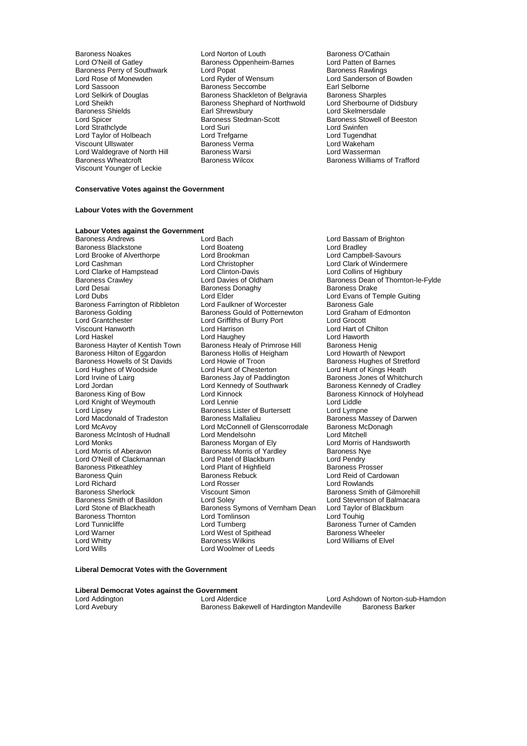Baroness Shields **Earl Shrewsbury**<br>
Lord Spicer<br> **Early Baroness Stedman-Scott** Lord Waldegrave of North Hill Baroness Warsi<br>Baroness Wheatcroft Baroness Wilcox Viscount Younger of Leckie

- Baroness Noakes **Lord Norton of Louth** Baroness O'Cathain<br>
Lord O'Neill of Gatley **Baroness Oppenheim-Barnes** Lord Patten of Barnes Baroness Oppenheim-Barnes Lord Patten of Barn<br>Lord Popat Corporation Baroness Rawlings Baroness Perry of Southwark Lord Popat Communisties Rawlings Lord Rose of Monewden Lord Ryder of Wensum Lord Sanderson of Bowden Lord Sassoon **Baroness Seccombe** Earl Selborne<br>
Lord Selkirk of Douglas **Baroness Shackleton of Belgravia** Baroness Sharples Lord Selkirk of Douglas **Baroness Shackleton of Belgravia** Baroness Sharples<br>
Lord Sheikh **Baroness Shephard of Northwold** Lord Sherbourne of Didsbury Baroness Shephard of Northwold Lord Sherbourne of Lord Skelmersdale Baroness Stedman-Scott Baroness Stowell of Beeston<br>
Baroness Stedman-Scott<br>
Lord Swinfen Lord Strathclyde Lord Suri Lord Swinfen Lord Taylor of Holbeach Lord Trefgarne Lord Tugendhat Examples and Ullswater Controller Baroness Verman Lord Wakeham<br>
Raroness Warsi Controller Lord Wasserman
	- Baroness Williams of Trafford

#### **Conservative Votes against the Government**

### **Labour Votes with the Government**

## **Labour Votes against the Government**

Baroness Blackstone Lord Boateng Lord Bradley Lord Brooke of Alverthorpe Lord Brookman<br>
Lord Cashman 
Lord Christopher Lord Clarke of Hampstead Lord Clinton-Davis<br>
Baroness Crawley Lord Davies of Oldham Lord Desai Baroness Donaghy<br>
Lord Dubs<br>
Lord Elder Baroness Farrington of Ribbleton Lord Faulkner of Worcester Baroness Gale<br>Baroness Golding Baroness Gould of Potternewton Lord Graham of Edmonton Baroness Golding **Baroness Gould of Potternewton** Lord Graham Lord Graham Cord Graham Cord Graham Cord Edmonton Lord Graham Cord Edmonton Lord Graham Cord Edmonton Lord Graham Cord Edmonton Lord Graham Cord Edmonton Lord G Lord Grantchester **Lord Griffiths of Burry Port**<br>
Viscount Hanworth **Lord Harrison** Viscount Hanworth **Lord Harrison** Lord Harrison **Lord Hart of Chilton**<br>
Lord Havadhev Lord Haughev Lord Havath Lord Haworth Baroness Hayter of Kentish Town Baroness Healy of Primrose Hill Baroness Henig<br>Baroness Hilton of Eggardon Baroness Hollis of Heigham Lord Howarth of Newport Baroness Hilton of Eggardon Baroness Hollis of Heigham Baroness Hollis of Heigham Baroness Hollis of Heigham Lord Howie of Troon Lord Hughes of Woodside Lord Hunt of Chesterton<br>
Lord Irvine of Lairg<br>
Baroness Jay of Paddington Lord Irvine of Lairg **Baroness Jay of Paddington** Baroness Jones of Whitchurch<br>
Lord Jordan **Baroness Controllery** Cord Kennedy of Southwark Baroness Kennedy of Cradley Lord Jordan **Lord Kennedy of Southwark** Baroness Kennedy of Cradley<br>
Baroness King of Bow **Lord Kinnock** Coral Communication Baroness Kinnock of Holyhead Lord Knight of Weymouth Lord Lord Lennie<br>
Lord Lipsey Lord Lines Baroness Lister of Burtersett Lord Lympne Lord Lipsey **Baroness Lister of Burtersett**<br>Lord Macdonald of Tradeston **Baroness Mallalieu** Erich McAvoy<br>
Lord McAvoy<br>
Baroness McIntosh of Hudnall<br>
Lord Mendelsohn<br>
Lord Monks<br>
Baroness Morgan of Ely Lord Monks<br>
Lord Morris of Aberavon **Baroness Morris of Handsworth**<br>
Baroness Morris of Yardley Baroness Nye Lord O'Neill of Clackmannan Lord Patel of Blackburn Lord Pendry<br>
Baroness Pitkeathley Lord Plant of Highfield Baroness Prosser Baroness Pitkeathley **Lord Plant of Highfield Baroness Rebuck**<br>
Baroness Quin<br>
Baroness Rebuck Baroness Quin Baroness Rebuck Lord Reid of Cardowan<br>
Lord Richard Lord Rosser Lord Rowlands Lord Richard Lord Rosser Lord Rowlands Baroness Sherlock **Viscount Simon** Viscount Simon<br>
Baroness Smith of Basildon **Baroness** Smith of Balmacara<br>
Lord Stevenson of Balmacara Baroness Smith of Basildon Lord Soley Lord Stevenson of Balmacara<br>
Lord Stevenson of Blackbeath Baroness Symons of Vernham Dean Lord Taylor of Blackburn Lord Stone of Blackheath Baroness Symons of Vernham Dean Lord Taylor of Blackheath Baroness Symons of Vernham Dean Lord Touhig Baroness Thornton **Lord Tomlinson**<br>
Lord Tunnicliffe **Lord Turnberg** Lord Tunnicliffe Turnberg Lord Turnberg Lord Turnberg Baroness Turner of Camden<br>Lord Warner Lord West of Spithead Baroness Wheeler Lord Warner **Lord West of Spithead Lord Wheeler Corporation**<br>
Baroness Wilkins

Lord Bach **Lord Bassam of Brighton**<br>
Lord Boateng **Lord Bradley** Lord Christopher **Lord Clark of Windermere**<br>
Lord Clinton-Davis **Lord Collins of Highbury** Lord Elder The Lord Evans of Temple Guiting<br>Lord Faulkner of Worcester Baroness Gale Lord Haughey Lord Haughey<br>Baroness Healy of Primrose Hill Baroness Henig Lord Howie of Troon **Baroness Hughes of Stretford**<br>
Lord Hunt of Chesterton **Baroness Hughes Heath** Baroness King of Bow Lord Kinnock Baroness Kinnock of Holyhead Lord McConnell of Glenscorrodale Baroness Mc<br>
Lord Mendelsohn 
Baroness Mc Exaroness Morris of Yardley Baroness Ny<br>
Lord Patel of Blackburn Baroness Ny Lord Whitty **Example 20** Baroness Wilkins **Lord Williams of Elvel**<br>
Lord Williams of Elvel **Lord Woolmer of Leeds** Lord Woolmer of Leeds

Baroness Crawley **Lord Davies of Oldham Baroness Dean of Thornton-le-Fylde**<br>
Lord Desai **Baroness Dean of Baroness Dean of Thornton-le-Fylde**<br>
Baroness Davies Dean of Baroness Drake Baroness Massey of Darwen<br>Baroness McDonagh

#### **Liberal Democrat Votes with the Government**

**Liberal Democrat Votes against the Government**

Lord Addington **Lord Alderdice** Lord Anderdice Lord Ashdown of Norton-sub-Hamdon<br>
Lord Avebury **Conserver Conserver Bakewell of Hardington Mandeville** Baroness Barker Baroness Bakewell of Hardington Mandeville